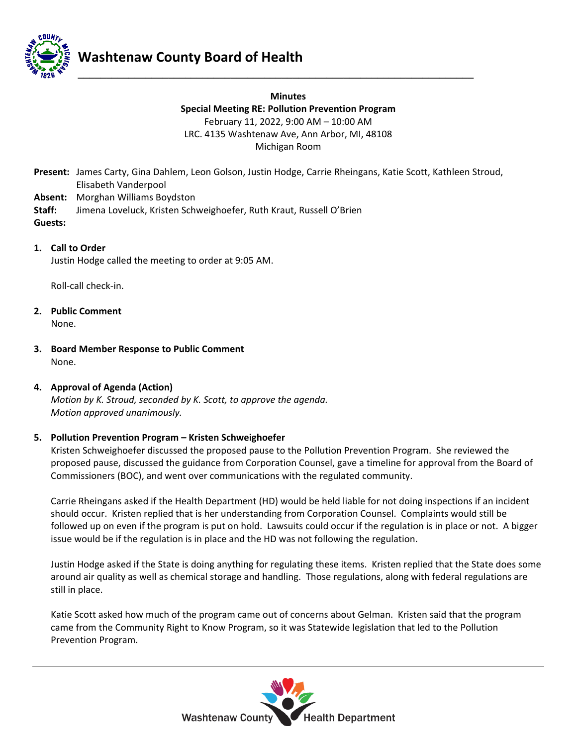

**Minutes Special Meeting RE: Pollution Prevention Program** February 11, 2022, 9:00 AM – 10:00 AM LRC. 4135 Washtenaw Ave, Ann Arbor, MI, 48108 Michigan Room

**\_\_\_\_\_\_\_\_\_\_\_\_\_\_\_\_\_\_\_\_\_\_\_\_\_\_\_\_\_\_\_\_\_\_\_\_\_\_\_\_\_\_\_\_\_\_\_\_\_\_\_\_\_\_\_\_\_\_\_\_\_\_\_\_\_\_\_\_\_\_**

Present: James Carty, Gina Dahlem, Leon Golson, Justin Hodge, Carrie Rheingans, Katie Scott, Kathleen Stroud, Elisabeth Vanderpool

- **Absent:** Morghan Williams Boydston
- **Staff:** Jimena Loveluck, Kristen Schweighoefer, Ruth Kraut, Russell O'Brien

**Guests:**

**1. Call to Order**

Justin Hodge called the meeting to order at 9:05 AM.

Roll-call check-in.

- **2. Public Comment** None.
- **3. Board Member Response to Public Comment** None.

## **4. Approval of Agenda (Action)**

*Motion by K. Stroud, seconded by K. Scott, to approve the agenda. Motion approved unanimously.*

## **5. Pollution Prevention Program – Kristen Schweighoefer**

Kristen Schweighoefer discussed the proposed pause to the Pollution Prevention Program. She reviewed the proposed pause, discussed the guidance from Corporation Counsel, gave a timeline for approval from the Board of Commissioners (BOC), and went over communications with the regulated community.

Carrie Rheingans asked if the Health Department (HD) would be held liable for not doing inspections if an incident should occur. Kristen replied that is her understanding from Corporation Counsel. Complaints would still be followed up on even if the program is put on hold. Lawsuits could occur if the regulation is in place or not. A bigger issue would be if the regulation is in place and the HD was not following the regulation.

Justin Hodge asked if the State is doing anything for regulating these items. Kristen replied that the State does some around air quality as well as chemical storage and handling. Those regulations, along with federal regulations are still in place.

Katie Scott asked how much of the program came out of concerns about Gelman. Kristen said that the program came from the Community Right to Know Program, so it was Statewide legislation that led to the Pollution Prevention Program.

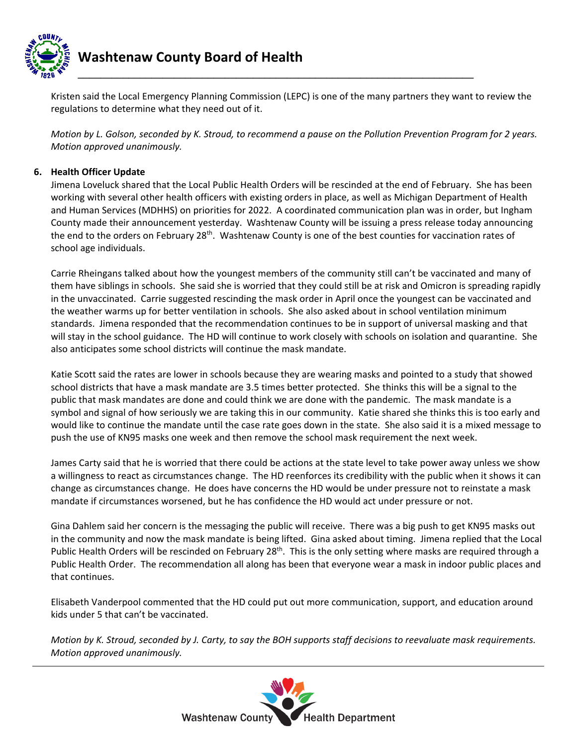

Kristen said the Local Emergency Planning Commission (LEPC) is one of the many partners they want to review the regulations to determine what they need out of it.

*Motion by L. Golson, seconded by K. Stroud, to recommend a pause on the Pollution Prevention Program for 2 years. Motion approved unanimously.*

## **6. Health Officer Update**

Jimena Loveluck shared that the Local Public Health Orders will be rescinded at the end of February. She has been working with several other health officers with existing orders in place, as well as Michigan Department of Health and Human Services (MDHHS) on priorities for 2022. A coordinated communication plan was in order, but Ingham County made their announcement yesterday. Washtenaw County will be issuing a press release today announcing the end to the orders on February 28th. Washtenaw County is one of the best counties for vaccination rates of school age individuals.

Carrie Rheingans talked about how the youngest members of the community still can't be vaccinated and many of them have siblings in schools. She said she is worried that they could still be at risk and Omicron is spreading rapidly in the unvaccinated. Carrie suggested rescinding the mask order in April once the youngest can be vaccinated and the weather warms up for better ventilation in schools. She also asked about in school ventilation minimum standards. Jimena responded that the recommendation continues to be in support of universal masking and that will stay in the school guidance. The HD will continue to work closely with schools on isolation and quarantine. She also anticipates some school districts will continue the mask mandate.

Katie Scott said the rates are lower in schools because they are wearing masks and pointed to a study that showed school districts that have a mask mandate are 3.5 times better protected. She thinks this will be a signal to the public that mask mandates are done and could think we are done with the pandemic. The mask mandate is a symbol and signal of how seriously we are taking this in our community. Katie shared she thinks this is too early and would like to continue the mandate until the case rate goes down in the state. She also said it is a mixed message to push the use of KN95 masks one week and then remove the school mask requirement the next week.

James Carty said that he is worried that there could be actions at the state level to take power away unless we show a willingness to react as circumstances change. The HD reenforces its credibility with the public when it shows it can change as circumstances change. He does have concerns the HD would be under pressure not to reinstate a mask mandate if circumstances worsened, but he has confidence the HD would act under pressure or not.

Gina Dahlem said her concern is the messaging the public will receive. There was a big push to get KN95 masks out in the community and now the mask mandate is being lifted. Gina asked about timing. Jimena replied that the Local Public Health Orders will be rescinded on February 28<sup>th</sup>. This is the only setting where masks are required through a Public Health Order. The recommendation all along has been that everyone wear a mask in indoor public places and that continues.

Elisabeth Vanderpool commented that the HD could put out more communication, support, and education around kids under 5 that can't be vaccinated.

*Motion by K. Stroud, seconded by J. Carty, to say the BOH supports staff decisions to reevaluate mask requirements. Motion approved unanimously.*